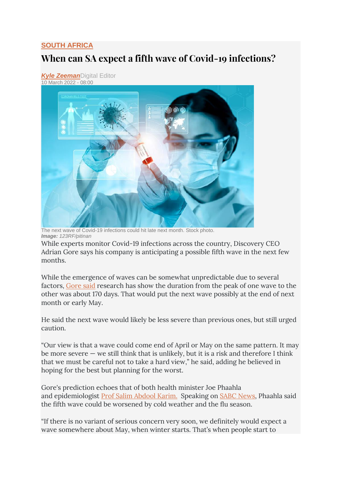## **[SOUTH AFRICA](https://www.timeslive.co.za/times-live/news/south-africa/)**

## **When can SA expect a fifth wave of Covid-19 infections?**

*[Kyle Zeeman](https://www.timeslive.co.za/authors/kyle-zeeman)*Digital Editor 10 March 2022 - 08:00



The next wave of Covid-19 infections could hit late next month. Stock photo. *Image: 123RF/pitinan*

While experts monitor Covid-19 infections across the country, Discovery CEO Adrian Gore says his company is anticipating a possible fifth wave in the next few months.

While the emergence of waves can be somewhat unpredictable due to several factors, [Gore said](https://www.linkedin.com/feed/update/urn:li:activity:6904796494936059904/) research has show the duration from the peak of one wave to the other was about 170 days. That would put the next wave possibly at the end of next month or early May.

He said the next wave would likely be less severe than previous ones, but still urged caution.

"Our view is that a wave could come end of April or May on the same pattern. It may be more severe  $-$  we still think that is unlikely, but it is a risk and therefore I think that we must be careful not to take a hard view," he said, adding he believed in hoping for the best but planning for the worst.

Gore's prediction echoes that of both health minister Joe Phaahla and epidemiologist **[Prof Salim Abdool Karim.](https://www.timeslive.co.za/news/south-africa/2022-01-13-prof-abdool-karim-says-future-covid-19-variants-are-likely-to-be-much-weaker-than-omicron/)** Speaking on **SABC News**, Phaahla said the fifth wave could be worsened by cold weather and the flu season.

"If there is no variant of serious concern very soon, we definitely would expect a wave somewhere about May, when winter starts. That's when people start to